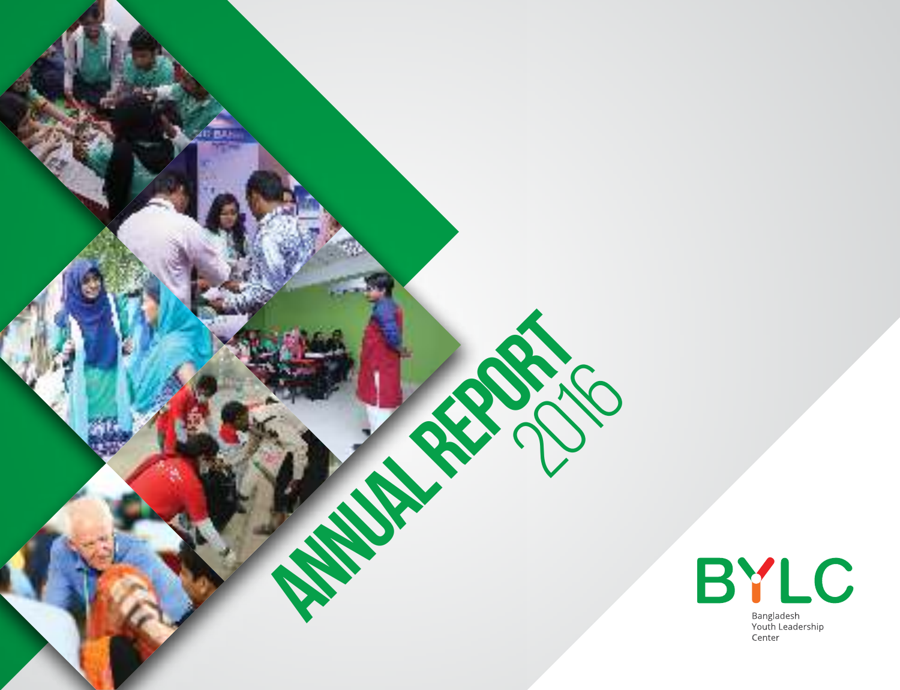

ANNUAL REPORT

ZITE PLEA

 $\overline{C}$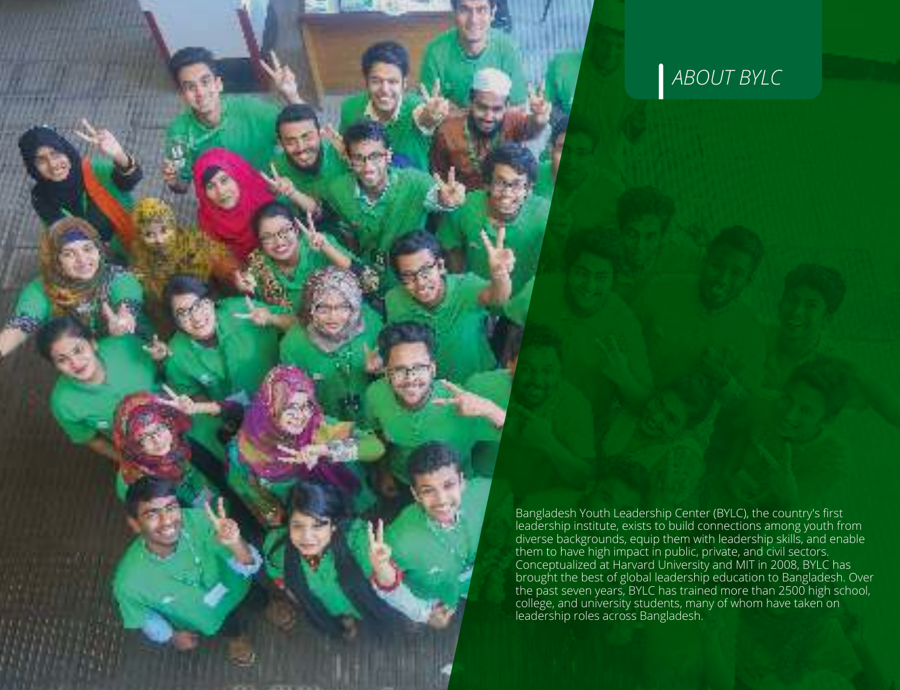

*ABOUT BYLC*

Bangladesh Youth Leadership Center (BYLC), the country's first leadership institute, exists to build connections among youth from diverse backgrounds, equip them with leadership skills, and enable them to have high impact in public, private, and civil sectors. Conceptualized at Harvard University and MIT in 2008, BYLC has brought the best of global leadership education to Bangladesh. Over the past seven years, BYLC has trained more than 2500 high school, college, and university students, many of whom have taken on leadership roles across Bangladesh.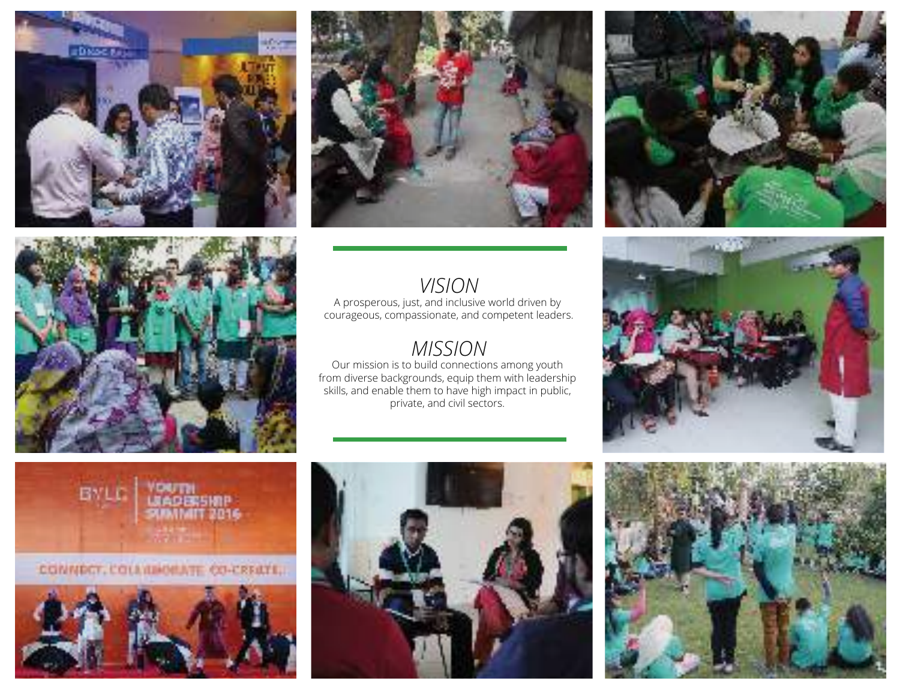







A prosperous, just, and inclusive world driven by courageous, compassionate, and competent leaders.

### *MISSION*

Our mission is to build connections among youth from diverse backgrounds, equip them with leadership skills, and enable them to have high impact in public, private, and civil sectors.







CONNECT, COLENHORATE CO-CEEATE,





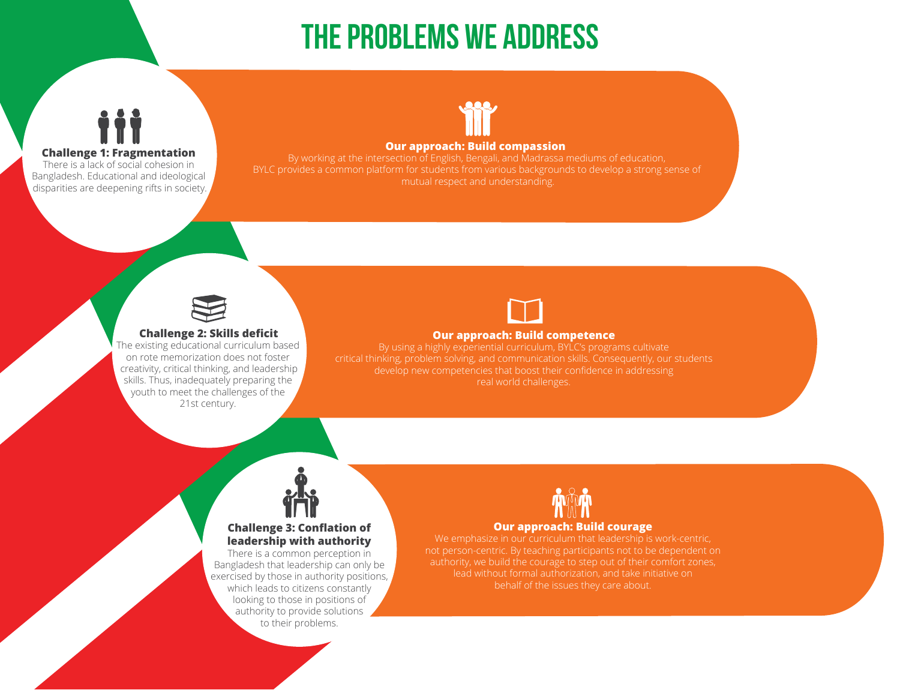# The problems we address



#### **Our approach: Build compassion**

BYLC provides a common platform for students from various backgrounds to develop a strong sense of mutual respect and understanding.



**Challenge 1: Fragmentation** There is a lack of social cohesion in Bangladesh. Educational and ideological disparities are deepening rifts in society.

### **Challenge 2: Skills deficit**

The existing educational curriculum based on rote memorization does not foster creativity, critical thinking, and leadership skills. Thus, inadequately preparing the youth to meet the challenges of the 21st century.



#### **Our approach: Build competence**

By using a highly experiential curriculum, BYLC's programs cultivate real world challenges.



### **Challenge 3: Conflation of leadership with authority**

There is a common perception in Bangladesh that leadership can only be exercised by those in authority positions, which leads to citizens constantly looking to those in positions of authority to provide solutions to their problems.



#### **Our approach: Build courage**

We emphasize in our curriculum that leadership is work-centric, not person-centric. By teaching participants not to be dependent on authority, we build the courage to step out of their comfort zones, lead without formal authorization, and take initiative on behalf of the issues they care about.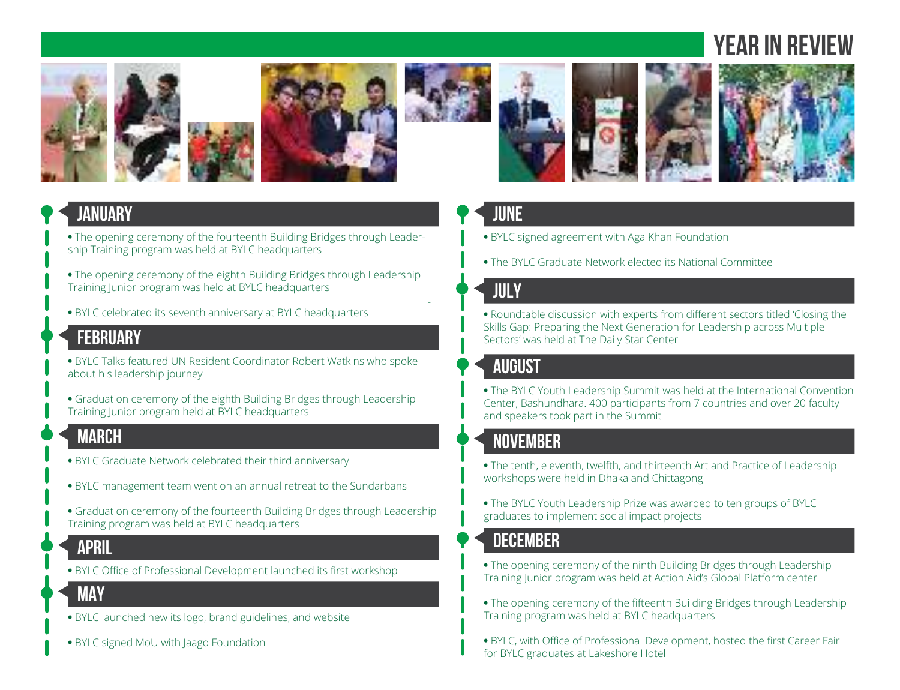# **VEAR IN REV**







-





### **JANUARY**

- The opening ceremony of the fourteenth Building Bridges through Leadership Training program was held at BYLC headquarters
- The opening ceremony of the eighth Building Bridges through Leadership Training Junior program was held at BYLC headquarters
- BYLC celebrated its seventh anniversary at BYLC headquarters

### **MARCH FEBRUARY**

- BYLC Talks featured UN Resident Coordinator Robert Watkins who spoke about his leadership journey
- Graduation ceremony of the eighth Building Bridges through Leadership Training Junior program held at BYLC headquarters

### **MARCH**

- BYLC Graduate Network celebrated their third anniversary
- **•** BYLC management team went on an annual retreat to the Sundarbans
- Graduation ceremony of the fourteenth Building Bridges through Leadership Training program was held at BYLC headquarters

### **APRIL**

**•** BYLC Office of Professional Development launched its first workshop

### **MAY MAY**

- BYLC launched new its logo, brand guidelines, and website
- BYLC signed MoU with Jaago Foundation

### **JUNE**

- BYLC signed agreement with Aga Khan Foundation
- The BYLC Graduate Network elected its National Committee

### **JULY**

**•** Roundtable discussion with experts from different sectors titled 'Closing the Skills Gap: Preparing the Next Generation for Leadership across Multiple Sectors' was held at The Daily Star Center

## **AUGUST**

**•** The BYLC Youth Leadership Summit was held at the International Convention Center, Bashundhara. 400 participants from 7 countries and over 20 faculty and speakers took part in the Summit

### **NOVEMBER**

- The tenth, eleventh, twelfth, and thirteenth Art and Practice of Leadership workshops were held in Dhaka and Chittagong
- The BYLC Youth Leadership Prize was awarded to ten groups of BYLC graduates to implement social impact projects

### **DECEMBER**

- The opening ceremony of the ninth Building Bridges through Leadership Training Junior program was held at Action Aid's Global Platform center
- The opening ceremony of the fifteenth Building Bridges through Leadership Training program was held at BYLC headquarters
- BYLC, with Office of Professional Development, hosted the first Career Fair for BYLC graduates at Lakeshore Hotel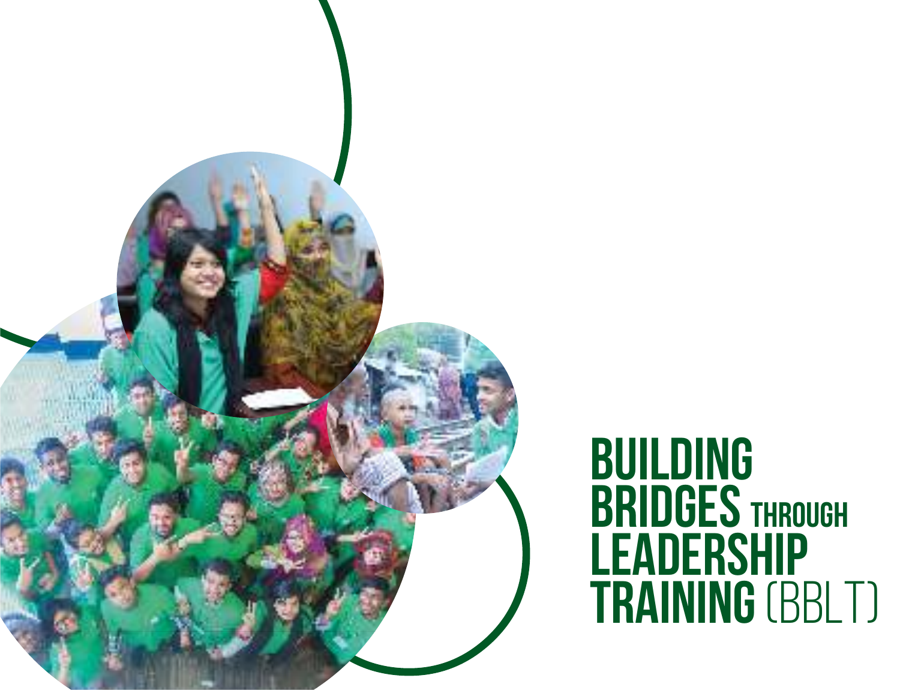

# Building BRIDGES THROUGH LEADERSHIP **TRAINING (BBLT)**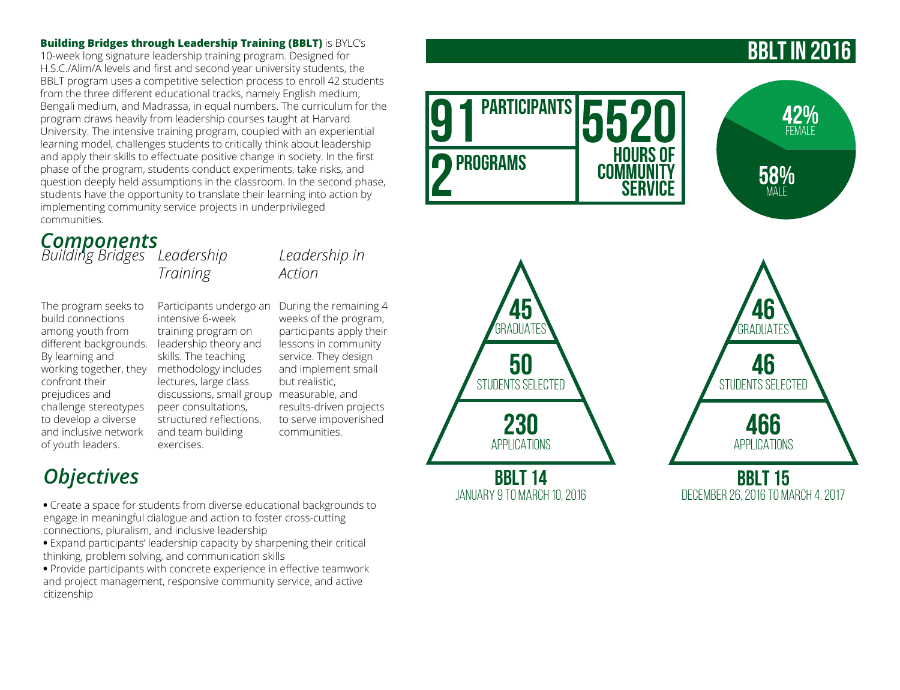**Building Bridges through Leadership Training (BBLT)** is BYLC's 10-week long signature leadership training program. Designed for H.S.C./Alim/A levels and first and second year university students, the BBLT program uses a competitive selection process to enroll 42 students from the three different educational tracks, namely English medium, Bengali medium, and Madrassa, in equal numbers. The curriculum for the program draws heavily from leadership courses taught at Harvard University. The intensive training program, coupled with an experiential learning model, challenges students to critically think about leadership and apply their skills to effectuate positive change in society. In the first phase of the program, students conduct experiments, take risks, and question deeply held assumptions in the classroom. In the second phase, students have the opportunity to translate their learning into action by implementing community service projects in underprivileged communities.

*Leadership in* 

weeks of the program, participants apply their lessons in community service. They design and implement small

results-driven projects to serve impoverished

*Action*

but realistic,

communities.

### *Components*

*Building Bridges Leadership Training*

The program seeks to build connections among youth from different backgrounds. leadership theory and working together, they Participants undergo an During the remaining 4 intensive 6-week training program on

skills. The teaching methodology includes lectures, large class discussions, small group measurable, and peer consultations, structured reflections, and team building exercises.

## *Objectives*

By learning and

confront their prejudices and challenge stereotypes to develop a diverse and inclusive network of youth leaders.

**•** Create a space for students from diverse educational backgrounds to engage in meaningful dialogue and action to foster cross-cutting connections, pluralism, and inclusive leadership

**•** Expand participants' leadership capacity by sharpening their critical thinking, problem solving, and communication skills

**•** Provide participants with concrete experience in effective teamwork and project management, responsive community service, and active citizenship

## BBLT in 2016





BBLT 15 December 26, 2016 to March 4, 2017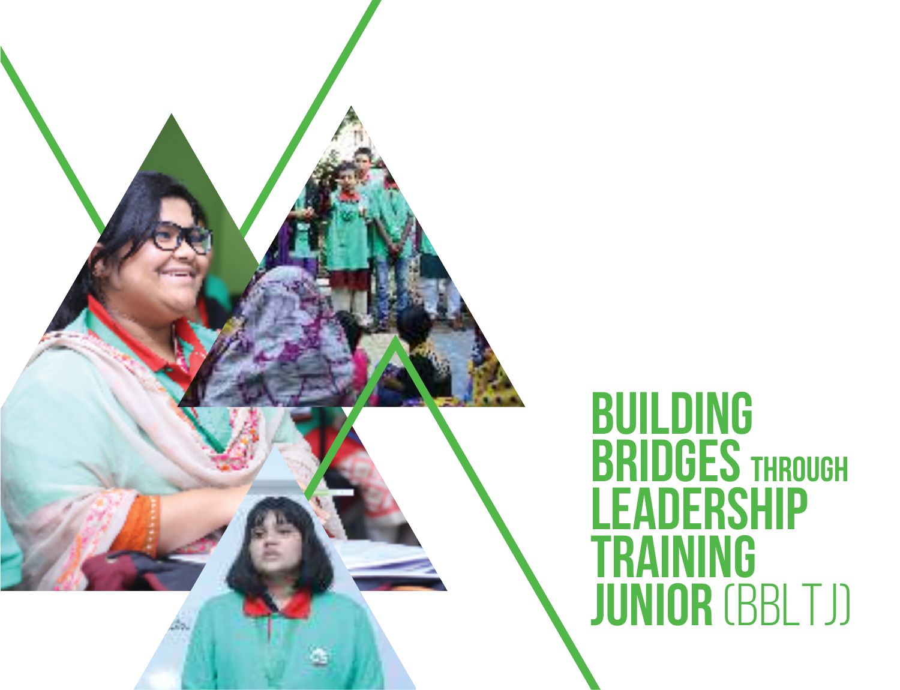

# **BUILDING** BRIDGES THROUGH LEADERSHIP **TRAINING** JUNIOR (BBLTJ)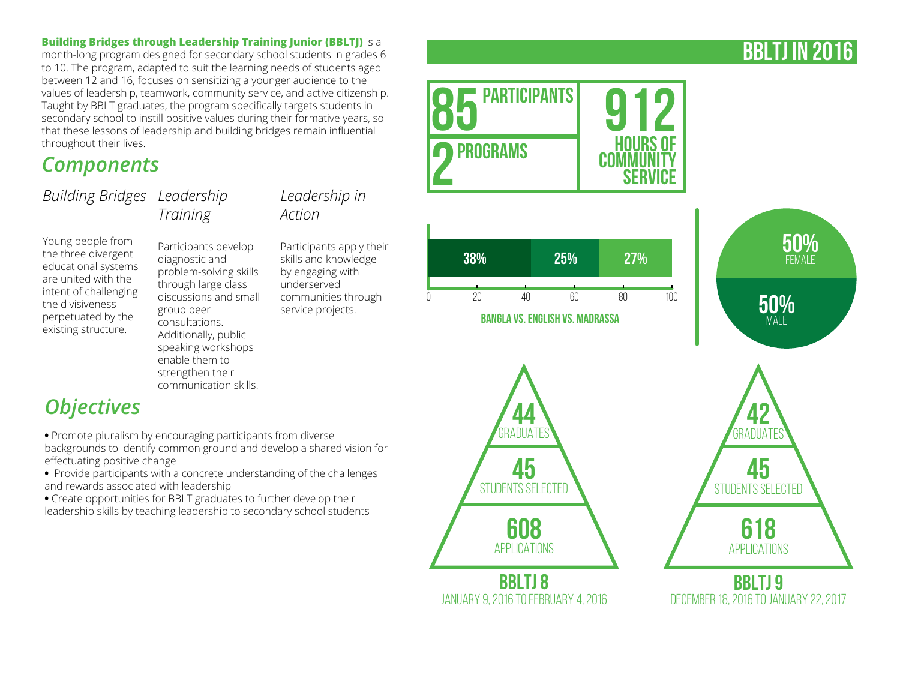### **Building Bridges through Leadership Training Junior (BBLTJ)** is a

month-long program designed for secondary school students in grades 6 to 10. The program, adapted to suit the learning needs of students aged between 12 and 16, focuses on sensitizing a younger audience to the values of leadership, teamwork, community service, and active citizenship. Taught by BBLT graduates, the program specifically targets students in secondary school to instill positive values during their formative years, so that these lessons of leadership and building bridges remain influential throughout their lives.

### *Components*

*Building Bridges Leadership Training*

### *Leadership in Action*

Young people from the three divergent educational systems are united with the intent of challenging the divisiveness perpetuated by the existing structure.

*Objectives*

effectuating positive change

and rewards associated with leadership

Participants develop diagnostic and problem-solving skills through large class discussions and small group peer consultations. Additionally, public speaking workshops enable them to strengthen their communication skills.

**•** Promote pluralism by encouraging participants from diverse

backgrounds to identify common ground and develop a shared vision for

**•** Provide participants with a concrete understanding of the challenges

**•** Create opportunities for BBLT graduates to further develop their leadership skills by teaching leadership to secondary school students

Participants apply their skills and knowledge by engaging with underserved communities through service projects.



BBLTj in 2016

December 18, 2016 to January 22, 2017

January 9, 2016 to February 4, 2016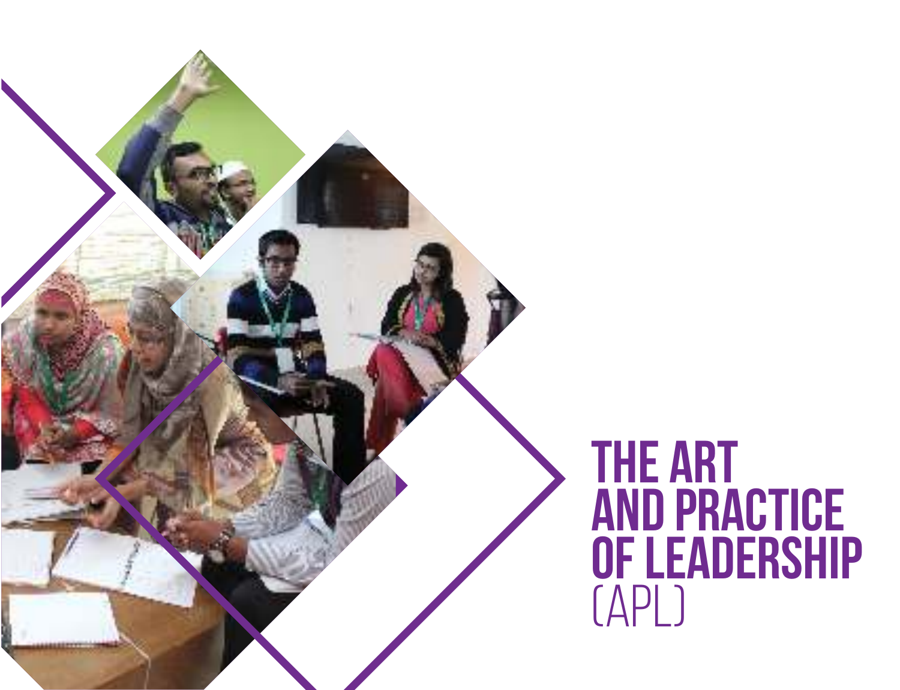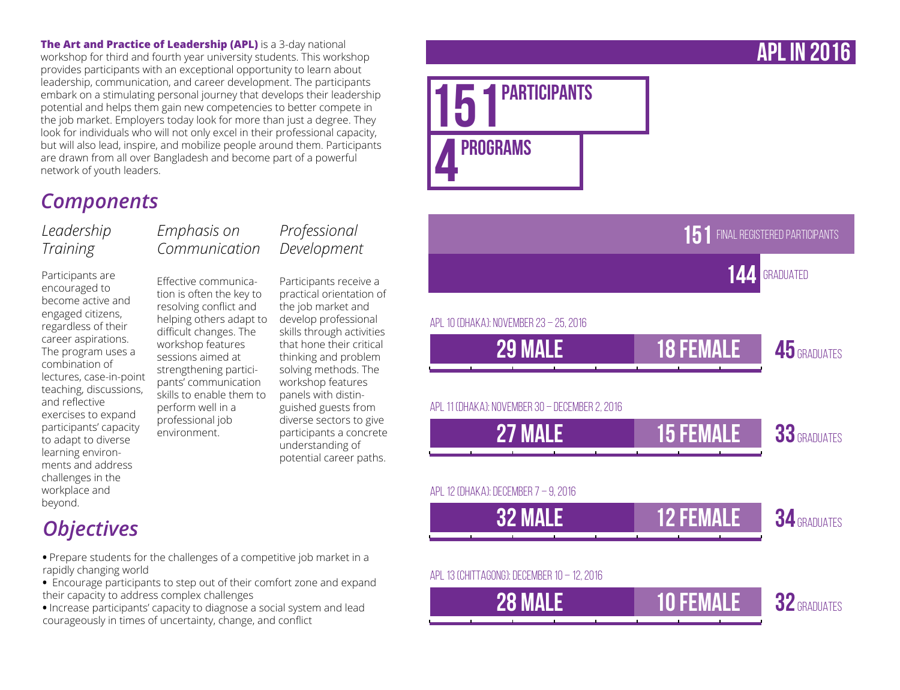**The Art and Practice of Leadership (APL)** is a 3-day national workshop for third and fourth year university students. This workshop provides participants with an exceptional opportunity to learn about leadership, communication, and career development. The participants embark on a stimulating personal journey that develops their leadership potential and helps them gain new competencies to better compete in the job market. Employers today look for more than just a degree. They look for individuals who will not only excel in their professional capacity, but will also lead, inspire, and mobilize people around them. Participants are drawn from all over Bangladesh and become part of a powerful network of youth leaders.

## *Components*

### *Leadership Training*

Participants are encouraged to become active and engaged citizens, regardless of their career aspirations. The program uses a combination of lectures, case-in-point teaching, discussions, and reflective exercises to expand participants' capacity to adapt to diverse learning environments and address challenges in the workplace and beyond.

### *Emphasis on Communication*

Effective communication is often the key to resolving conflict and helping others adapt to difficult changes. The workshop features sessions aimed at strengthening participants' communication skills to enable them to perform well in a professional job environment.

### *Professional Development*

Participants receive a practical orientation of the job market and develop professional skills through activities that hone their critical thinking and problem solving methods. The workshop features panels with distinguished guests from diverse sectors to give participants a concrete understanding of potential career paths.



**PARTICIPANTS** 

PROGRAMS

# *Objectives*

- Prepare students for the challenges of a competitive job market in a rapidly changing world
- Encourage participants to step out of their comfort zone and expand their capacity to address complex challenges
- Increase participants' capacity to diagnose a social system and lead courageously in times of uncertainty, change, and conflict

## APL in 2016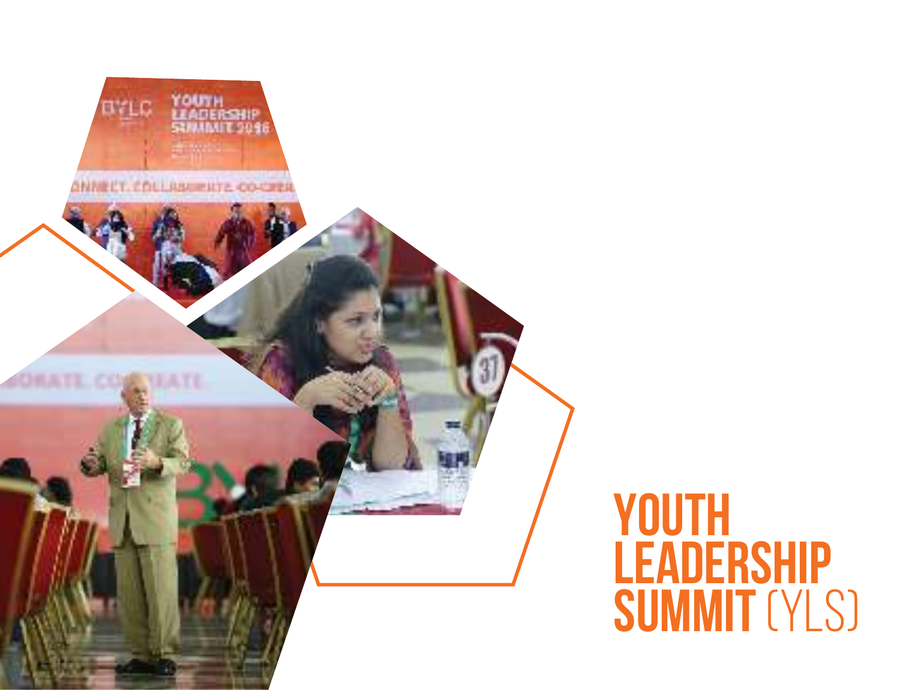

# **YOUTH LEADERSHIP SUMMIT (YLS)**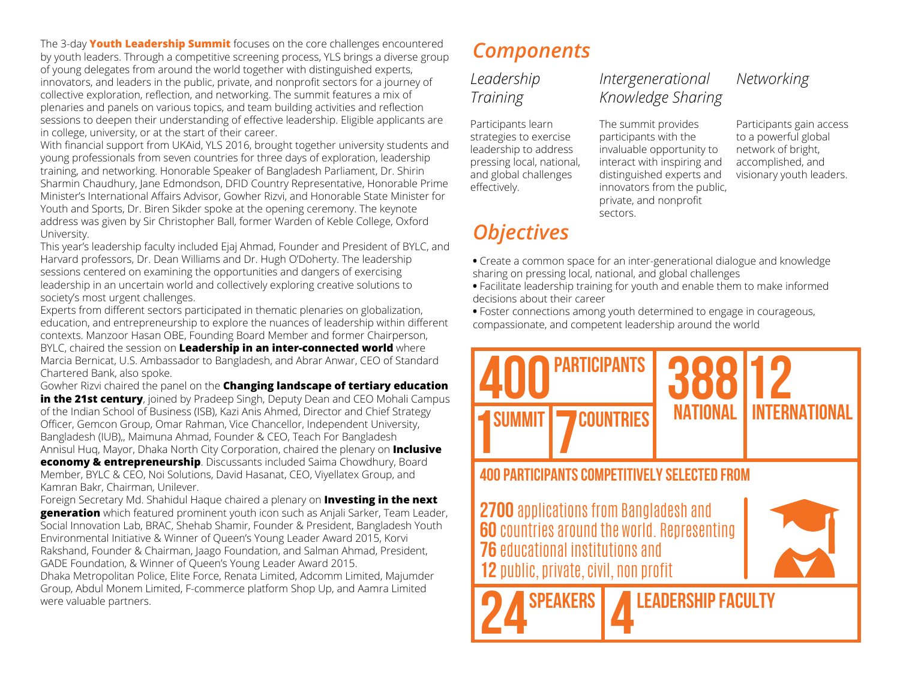The 3-day **Youth Leadership Summit** focuses on the core challenges encountered by youth leaders. Through a competitive screening process, YLS brings a diverse group of young delegates from around the world together with distinguished experts, innovators, and leaders in the public, private, and nonprofit sectors for a journey of collective exploration, reflection, and networking. The summit features a mix of plenaries and panels on various topics, and team building activities and reflection sessions to deepen their understanding of effective leadership. Eligible applicants are in college, university, or at the start of their career.

With financial support from UKAid, YLS 2016, brought together university students and young professionals from seven countries for three days of exploration, leadership training, and networking. Honorable Speaker of Bangladesh Parliament, Dr. Shirin Sharmin Chaudhury, Jane Edmondson, DFID Country Representative, Honorable Prime Minister's International Affairs Advisor, Gowher Rizvi, and Honorable State Minister for Youth and Sports, Dr. Biren Sikder spoke at the opening ceremony. The keynote address was given by Sir Christopher Ball, former Warden of Keble College, Oxford University.

This year's leadership faculty included Ejaj Ahmad, Founder and President of BYLC, and Harvard professors, Dr. Dean Williams and Dr. Hugh O'Doherty. The leadership sessions centered on examining the opportunities and dangers of exercising leadership in an uncertain world and collectively exploring creative solutions to society's most urgent challenges.

Experts from different sectors participated in thematic plenaries on globalization, education, and entrepreneurship to explore the nuances of leadership within different contexts. Manzoor Hasan OBE, Founding Board Member and former Chairperson, BYLC, chaired the session on **Leadership in an inter-connected world** where Marcia Bernicat, U.S. Ambassador to Bangladesh, and Abrar Anwar, CEO of Standard Chartered Bank, also spoke.

Gowher Rizvi chaired the panel on the **Changing landscape of tertiary education in the 21st century**, joined by Pradeep Singh, Deputy Dean and CEO Mohali Campus of the Indian School of Business (ISB), Kazi Anis Ahmed, Director and Chief Strategy Officer, Gemcon Group, Omar Rahman, Vice Chancellor, Independent University, Bangladesh (IUB),, Maimuna Ahmad, Founder & CEO, Teach For Bangladesh Annisul Huq, Mayor, Dhaka North City Corporation, chaired the plenary on **Inclusive economy & entrepreneurship**. Discussants included Saima Chowdhury, Board Member, BYLC & CEO, Noi Solutions, David Hasanat, CEO, Viyellatex Group, and Kamran Bakr, Chairman, Unilever.

Foreign Secretary Md. Shahidul Haque chaired a plenary on **Investing in the next generation** which featured prominent youth icon such as Anjali Sarker, Team Leader, Social Innovation Lab, BRAC, Shehab Shamir, Founder & President, Bangladesh Youth Environmental Initiative & Winner of Queen's Young Leader Award 2015, Korvi Rakshand, Founder & Chairman, Jaago Foundation, and Salman Ahmad, President, GADE Foundation, & Winner of Queen's Young Leader Award 2015.

Dhaka Metropolitan Police, Elite Force, Renata Limited, Adcomm Limited, Majumder Group, Abdul Monem Limited, F-commerce platform Shop Up, and Aamra Limited were valuable partners.

## *Components*

### *Leadership Training*

Participants learn strategies to exercise leadership to address pressing local, national, and global challenges effectively.

## *Objectives*

### *Intergenerational Knowledge Sharing*

The summit provides participants with the invaluable opportunity to interact with inspiring and distinguished experts and innovators from the public, private, and nonprofit sectors.

### *Networking*

Participants gain access to a powerful global network of bright, accomplished, and visionary youth leaders.

- Create a common space for an inter-generational dialogue and knowledge sharing on pressing local, national, and global challenges
- Facilitate leadership training for youth and enable them to make informed decisions about their career

**•** Foster connections among youth determined to engage in courageous, compassionate, and competent leadership around the world

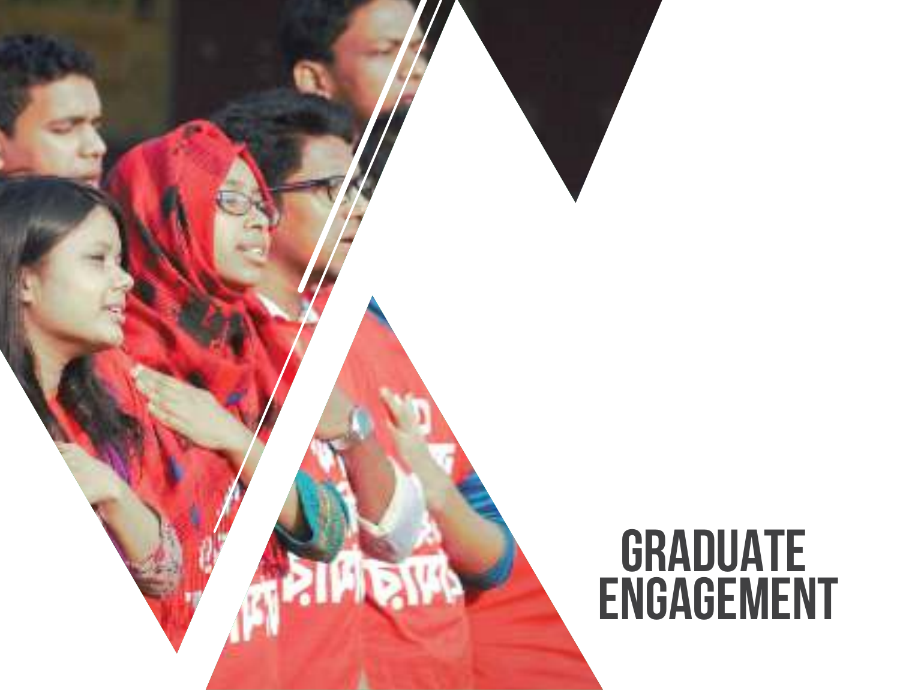# **GRADUATE** ENGAGEMENT

**THEFT!**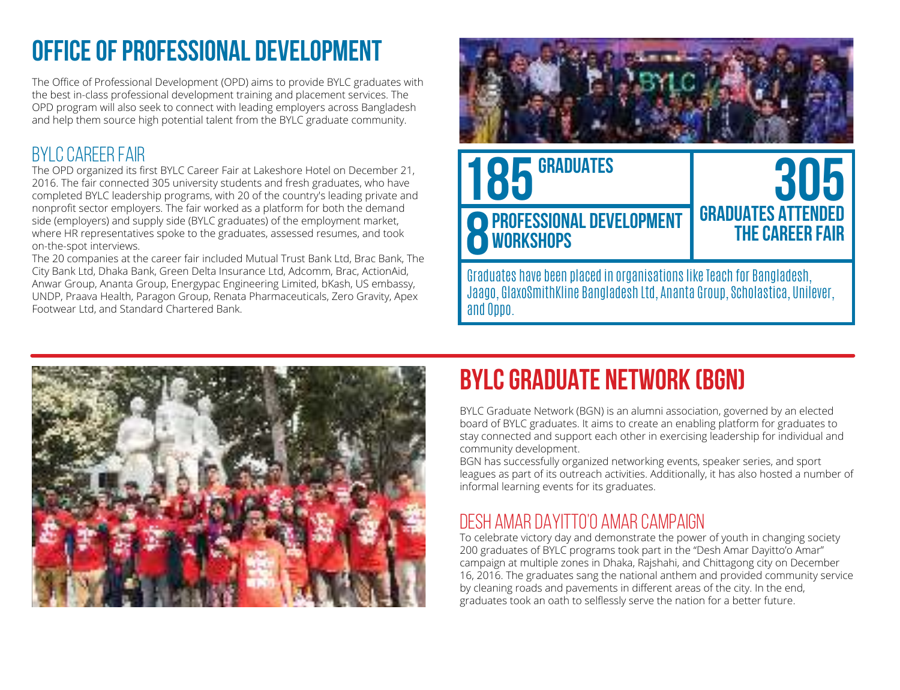# **Office of Professional Development**

The Office of Professional Development (OPD) aims to provide BYLC graduates with the best in-class professional development training and placement services. The OPD program will also seek to connect with leading employers across Bangladesh and help them source high potential talent from the BYLC graduate community.

### BYLC Career Fair

The OPD organized its first BYLC Career Fair at Lakeshore Hotel on December 21, 2016. The fair connected 305 university students and fresh graduates, who have completed BYLC leadership programs, with 20 of the country's leading private and nonprofit sector employers. The fair worked as a platform for both the demand side (employers) and supply side (BYLC graduates) of the employment market, where HR representatives spoke to the graduates, assessed resumes, and took on-the-spot interviews.

The 20 companies at the career fair included Mutual Trust Bank Ltd, Brac Bank, The City Bank Ltd, Dhaka Bank, Green Delta Insurance Ltd, Adcomm, Brac, ActionAid, Anwar Group, Ananta Group, Energypac Engineering Limited, bKash, US embassy, UNDP, Praava Health, Paragon Group, Renata Pharmaceuticals, Zero Gravity, Apex Footwear Ltd, and Standard Chartered Bank.





# **BYLC Graduate Network (BGN)**

BYLC Graduate Network (BGN) is an alumni association, governed by an elected board of BYLC graduates. It aims to create an enabling platform for graduates to stay connected and support each other in exercising leadership for individual and community development.

BGN has successfully organized networking events, speaker series, and sport leagues as part of its outreach activities. Additionally, it has also hosted a number of informal learning events for its graduates.

### Desh Amar Dayitto'o Amar Campaign

To celebrate victory day and demonstrate the power of youth in changing society 200 graduates of BYLC programs took part in the "Desh Amar Dayitto'o Amar" campaign at multiple zones in Dhaka, Rajshahi, and Chittagong city on December 16, 2016. The graduates sang the national anthem and provided community service by cleaning roads and pavements in different areas of the city. In the end, graduates took an oath to selflessly serve the nation for a better future.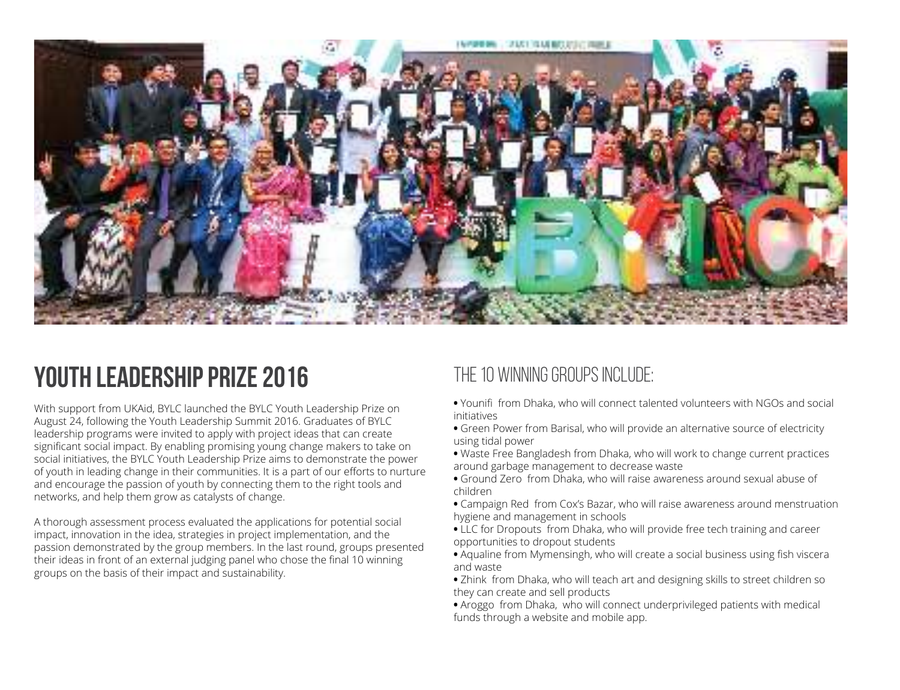

# **Youth Leadership Prize 2016**

With support from UKAid, BYLC launched the BYLC Youth Leadership Prize on August 24, following the Youth Leadership Summit 2016. Graduates of BYLC leadership programs were invited to apply with project ideas that can create significant social impact. By enabling promising young change makers to take on social initiatives, the BYLC Youth Leadership Prize aims to demonstrate the power of youth in leading change in their communities. It is a part of our efforts to nurture and encourage the passion of youth by connecting them to the right tools and networks, and help them grow as catalysts of change.

A thorough assessment process evaluated the applications for potential social impact, innovation in the idea, strategies in project implementation, and the passion demonstrated by the group members. In the last round, groups presented their ideas in front of an external judging panel who chose the final 10 winning groups on the basis of their impact and sustainability.

### The 10 winning groups include:

- Younifi from Dhaka, who will connect talented volunteers with NGOs and social initiatives
- Green Power from Barisal, who will provide an alternative source of electricity using tidal power
- Waste Free Bangladesh from Dhaka, who will work to change current practices around garbage management to decrease waste
- Ground Zero from Dhaka, who will raise awareness around sexual abuse of children
- Campaign Red from Cox's Bazar, who will raise awareness around menstruation hygiene and management in schools
- LLC for Dropouts from Dhaka, who will provide free tech training and career opportunities to dropout students
- Aqualine from Mymensingh, who will create a social business using fish viscera and waste
- Zhink from Dhaka, who will teach art and designing skills to street children so they can create and sell products
- Aroggo from Dhaka, who will connect underprivileged patients with medical funds through a website and mobile app.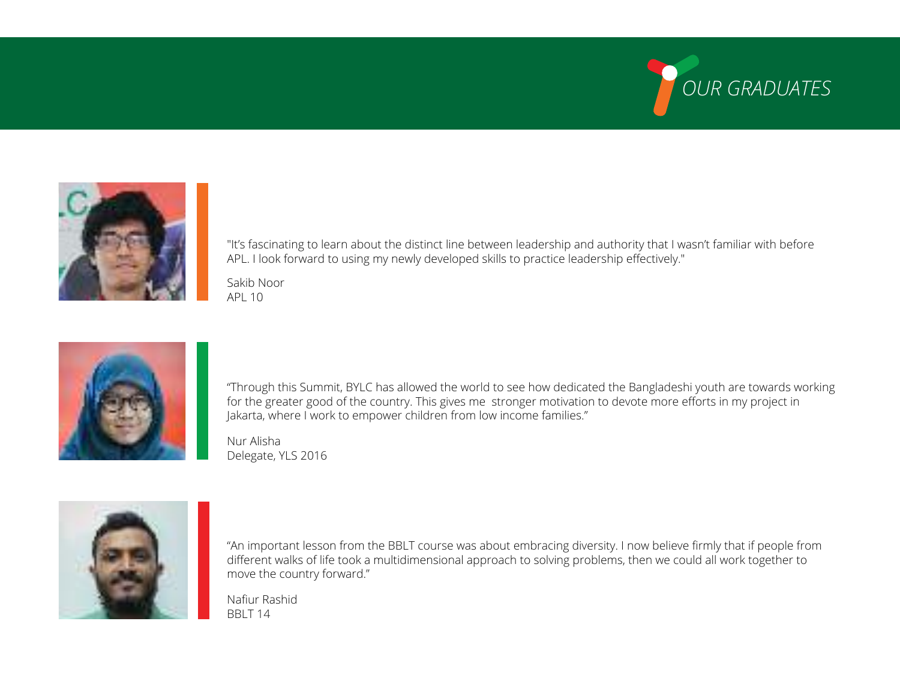



"It's fascinating to learn about the distinct line between leadership and authority that I wasn't familiar with before APL. I look forward to using my newly developed skills to practice leadership effectively."

Sakib Noor API 10



"Through this Summit, BYLC has allowed the world to see how dedicated the Bangladeshi youth are towards working for the greater good of the country. This gives me stronger motivation to devote more efforts in my project in Jakarta, where I work to empower children from low income families."

Nur Alisha Delegate, YLS 2016



"An important lesson from the BBLT course was about embracing diversity. I now believe firmly that if people from different walks of life took a multidimensional approach to solving problems, then we could all work together to move the country forward."

Nafiur Rashid BBLT 14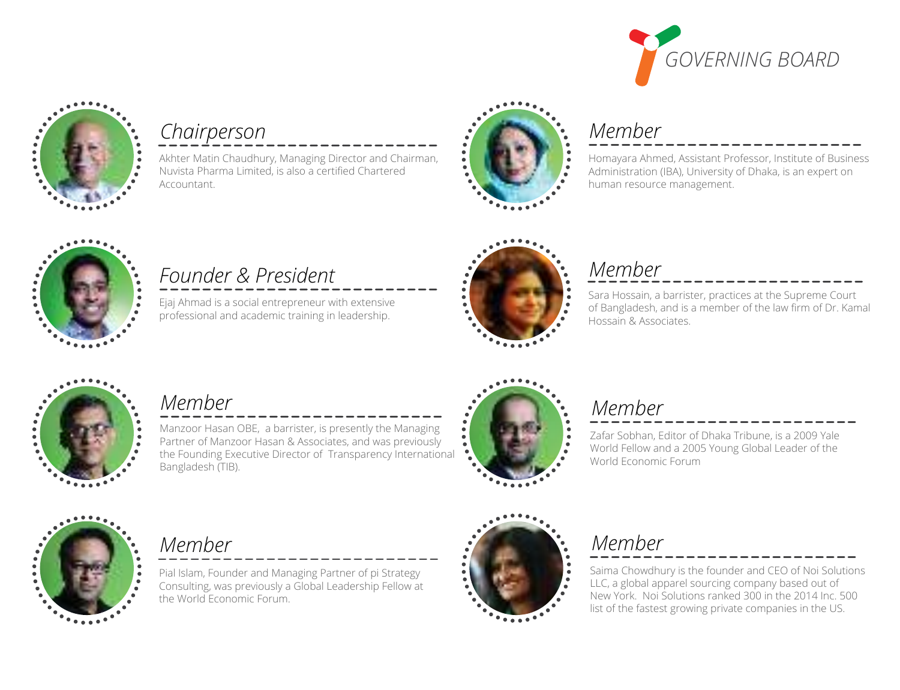



## *Chairperson*

Akhter Matin Chaudhury, Managing Director and Chairman,

Nuvista Pharma Limited, is also a certified Chartered Accountant.



## *Member*

Homayara Ahmed, Assistant Professor, Institute of Business Administration (IBA), University of Dhaka, is an expert on human resource management.



## *Founder & President*

Ejaj Ahmad is a social entrepreneur with extensive professional and academic training in leadership.



### *Member*

Sara Hossain, a barrister, practices at the Supreme Court of Bangladesh, and is a member of the law firm of Dr. Kamal Hossain & Associates.



### *Member*

Manzoor Hasan OBE, a barrister, is presently the Managing Partner of Manzoor Hasan & Associates, and was previously the Founding Executive Director of Transparency International Bangladesh (TIB).



## *Member*

Zafar Sobhan, Editor of Dhaka Tribune, is a 2009 Yale World Fellow and a 2005 Young Global Leader of the World Economic Forum



## *Member*

Pial Islam, Founder and Managing Partner of pi Strategy Consulting, was previously a Global Leadership Fellow at the World Economic Forum.



# *Member*

Saima Chowdhury is the founder and CEO of Noi Solutions LLC, a global apparel sourcing company based out of New York. Noi Solutions ranked 300 in the 2014 Inc. 500 list of the fastest growing private companies in the US.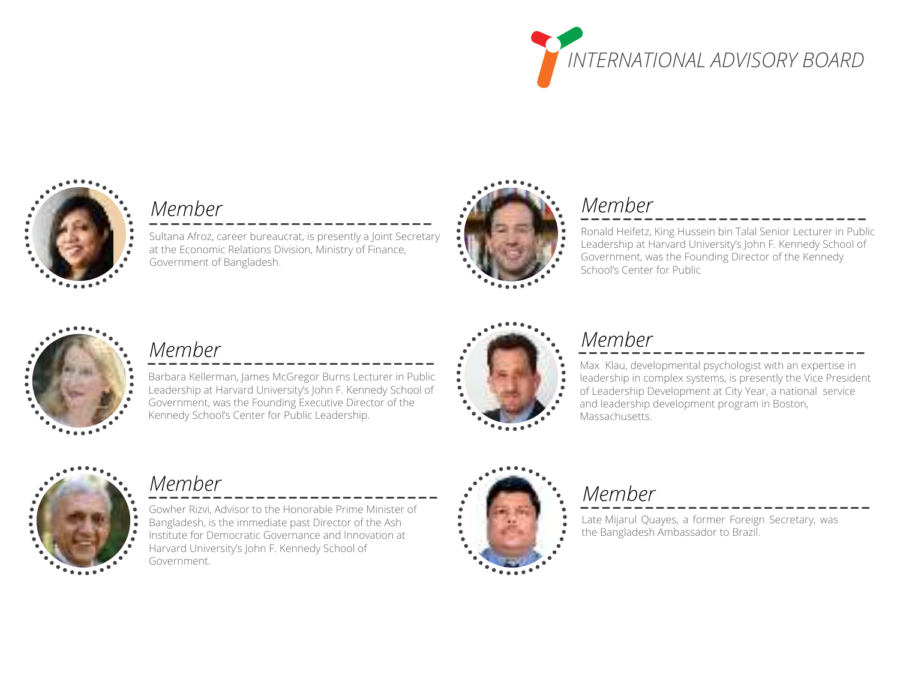



### *Member*

Sultana Afroz, career bureaucrat, is presently a Joint Secretary at the Economic Relations Division, Ministry of Finance, Government of Bangladesh.



## *Member*

Ronald Heifetz, King Hussein bin Talal Senior Lecturer in Public Leadership at Harvard University's John F. Kennedy School of Government, was the Founding Director of the Kennedy School's Center for Public



## *Member*

Barbara Kellerman, James McGregor Burns Lecturer in Public Leadership at Harvard University's John F. Kennedy School of Government, was the Founding Executive Director of the Kennedy School's Center for Public Leadership.



## *Member*

Max Klau, developmental psychologist with an expertise in leadership in complex systems, is presently the Vice President of Leadership Development at City Year, a national service and leadership development program in Boston, Massachusetts.



## *Member*

Gowher Rizvi, Advisor to the Honorable Prime Minister of

- Bangladesh, is the immediate past Director of the Ash
- Institute for Democratic Governance and Innovation at Harvard University's John F. Kennedy School of Government.



## *Member*

Late Mijarul Quayes, a former Foreign Secretary, was the Bangladesh Ambassador to Brazil.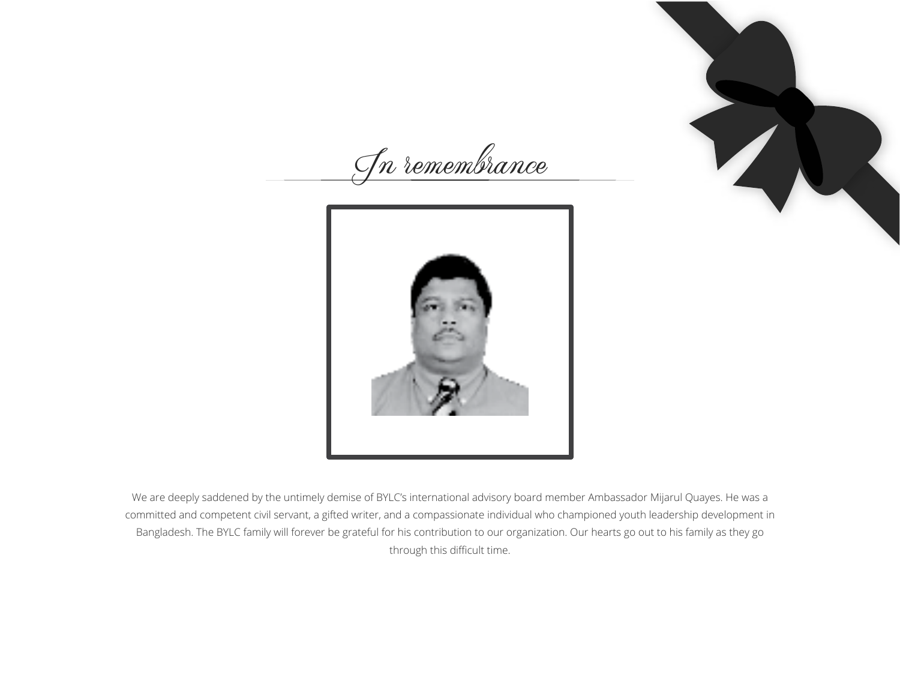In remembrance